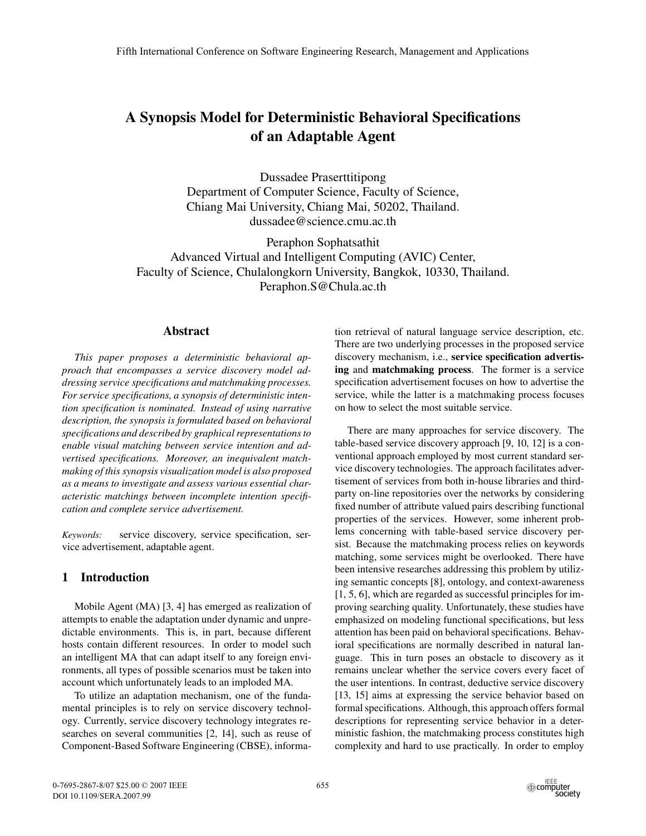# A Synopsis Model for Deterministic Behavioral Specifications of an Adaptable Agent

Dussadee Praserttitipong Department of Computer Science, Faculty of Science, Chiang Mai University, Chiang Mai, 50202, Thailand. dussadee@science.cmu.ac.th

Peraphon Sophatsathit Advanced Virtual and Intelligent Computing (AVIC) Center, Faculty of Science, Chulalongkorn University, Bangkok, 10330, Thailand. Peraphon.S@Chula.ac.th

## Abstract

*This paper proposes a deterministic behavioral approach that encompasses a service discovery model addressing service specifications and matchmaking processes. For service specifications, a synopsis of deterministic intention specification is nominated. Instead of using narrative description, the synopsis is formulated based on behavioral specifications and described by graphical representations to enable visual matching between service intention and advertised specifications. Moreover, an inequivalent matchmaking of this synopsis visualization model is also proposed as a means to investigate and assess various essential characteristic matchings between incomplete intention specification and complete service advertisement.*

*Keywords:* service discovery, service specification, service advertisement, adaptable agent.

# 1 Introduction

Mobile Agent (MA) [3, 4] has emerged as realization of attempts to enable the adaptation under dynamic and unpredictable environments. This is, in part, because different hosts contain different resources. In order to model such an intelligent MA that can adapt itself to any foreign environments, all types of possible scenarios must be taken into account which unfortunately leads to an imploded MA.

To utilize an adaptation mechanism, one of the fundamental principles is to rely on service discovery technology. Currently, service discovery technology integrates researches on several communities [2, 14], such as reuse of Component-Based Software Engineering (CBSE), informa-

tion retrieval of natural language service description, etc. There are two underlying processes in the proposed service discovery mechanism, i.e., service specification advertising and matchmaking process. The former is a service specification advertisement focuses on how to advertise the service, while the latter is a matchmaking process focuses on how to select the most suitable service.

There are many approaches for service discovery. The table-based service discovery approach [9, 10, 12] is a conventional approach employed by most current standard service discovery technologies. The approach facilitates advertisement of services from both in-house libraries and thirdparty on-line repositories over the networks by considering fixed number of attribute valued pairs describing functional properties of the services. However, some inherent problems concerning with table-based service discovery persist. Because the matchmaking process relies on keywords matching, some services might be overlooked. There have been intensive researches addressing this problem by utilizing semantic concepts [8], ontology, and context-awareness [1, 5, 6], which are regarded as successful principles for improving searching quality. Unfortunately, these studies have emphasized on modeling functional specifications, but less attention has been paid on behavioral specifications. Behavioral specifications are normally described in natural language. This in turn poses an obstacle to discovery as it remains unclear whether the service covers every facet of the user intentions. In contrast, deductive service discovery [13, 15] aims at expressing the service behavior based on formal specifications. Although, this approach offers formal descriptions for representing service behavior in a deterministic fashion, the matchmaking process constitutes high complexity and hard to use practically. In order to employ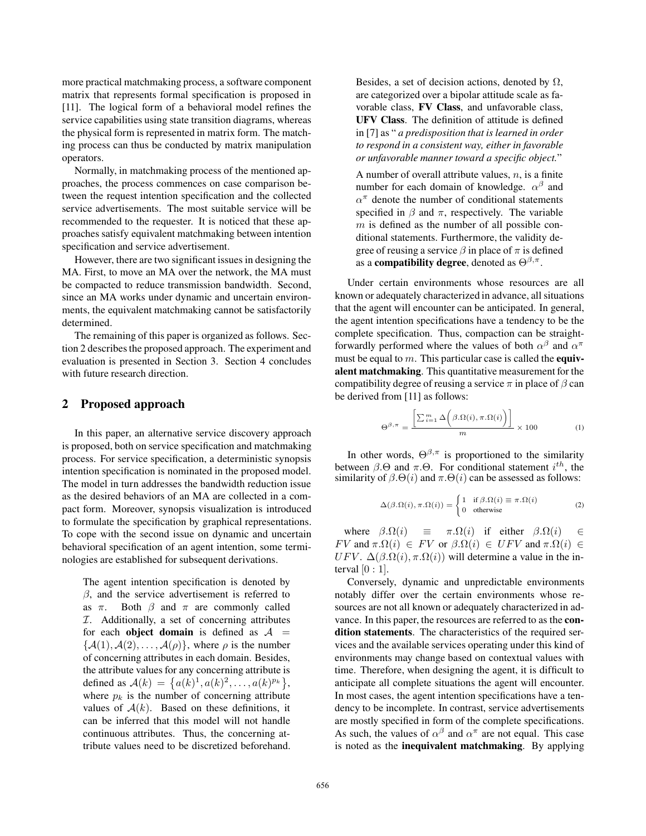more practical matchmaking process, a software component matrix that represents formal specification is proposed in [11]. The logical form of a behavioral model refines the service capabilities using state transition diagrams, whereas the physical form is represented in matrix form. The matching process can thus be conducted by matrix manipulation operators.

Normally, in matchmaking process of the mentioned approaches, the process commences on case comparison between the request intention specification and the collected service advertisements. The most suitable service will be recommended to the requester. It is noticed that these approaches satisfy equivalent matchmaking between intention specification and service advertisement.

However, there are two significant issues in designing the MA. First, to move an MA over the network, the MA must be compacted to reduce transmission bandwidth. Second, since an MA works under dynamic and uncertain environments, the equivalent matchmaking cannot be satisfactorily determined.

The remaining of this paper is organized as follows. Section 2 describes the proposed approach. The experiment and evaluation is presented in Section 3. Section 4 concludes with future research direction.

# 2 Proposed approach

In this paper, an alternative service discovery approach is proposed, both on service specification and matchmaking process. For service specification, a deterministic synopsis intention specification is nominated in the proposed model. The model in turn addresses the bandwidth reduction issue as the desired behaviors of an MA are collected in a compact form. Moreover, synopsis visualization is introduced to formulate the specification by graphical representations. To cope with the second issue on dynamic and uncertain behavioral specification of an agent intention, some terminologies are established for subsequent derivations.

The agent intention specification is denoted by  $\beta$ , and the service advertisement is referred to as  $\pi$ . Both  $\beta$  and  $\pi$  are commonly called  $I.$  Additionally, a set of concerning attributes for each object domain is defined as  $A =$  $\{\mathcal{A}(1), \mathcal{A}(2), \ldots, \mathcal{A}(\rho)\}\$ , where  $\rho$  is the number of concerning attributes in each domain. Besides, the attribute values for any concerning attribute is defined as  $A(k) = \{a(k)^1, a(k)^2, \ldots, a(k)^{p_k}\},$ where  $p_k$  is the number of concerning attribute values of  $A(k)$ . Based on these definitions, it can be inferred that this model will not handle continuous attributes. Thus, the concerning attribute values need to be discretized beforehand. Besides, a set of decision actions, denoted by  $\Omega$ , are categorized over a bipolar attitude scale as favorable class, FV Class, and unfavorable class, UFV Class. The definition of attitude is defined in [7] as " *a predisposition that is learned in order to respond in a consistent way, either in favorable or unfavorable manner toward a specific object.*"

A number of overall attribute values,  $n$ , is a finite number for each domain of knowledge.  $\alpha^{\beta}$  and  $\alpha^{\pi}$  denote the number of conditional statements specified in  $\beta$  and  $\pi$ , respectively. The variable  $m$  is defined as the number of all possible conditional statements. Furthermore, the validity degree of reusing a service  $\beta$  in place of  $\pi$  is defined as a **compatibility degree**, denoted as  $\Theta^{\beta,\pi}$ .

Under certain environments whose resources are all known or adequately characterized in advance, all situations that the agent will encounter can be anticipated. In general, the agent intention specifications have a tendency to be the complete specification. Thus, compaction can be straightforwardly performed where the values of both  $\alpha^{\beta}$  and  $\alpha^{\pi}$ must be equal to  $m$ . This particular case is called the **equiv**alent matchmaking. This quantitative measurement for the compatibility degree of reusing a service  $\pi$  in place of  $\beta$  can be derived from [11] as follows:

$$
\Theta^{\beta,\pi} = \frac{\left[\sum_{i=1}^{m} \Delta\bigg(\beta.\Omega(i), \pi.\Omega(i)\bigg)\right]}{m} \times 100
$$
 (1)

In other words,  $\Theta^{\beta,\pi}$  is proportioned to the similarity between  $\beta$ . $\Theta$  and  $\pi$ . $\Theta$ . For conditional statement  $i^{th}$ , the similarity of  $\beta.\Theta(i)$  and  $\pi.\Theta(i)$  can be assessed as follows:

$$
\Delta(\beta \cdot \Omega(i), \pi \cdot \Omega(i)) = \begin{cases} 1 & \text{if } \beta \cdot \Omega(i) \equiv \pi \cdot \Omega(i) \\ 0 & \text{otherwise} \end{cases}
$$
 (2)

where  $\beta.\Omega(i) \equiv \pi.\Omega(i)$  if either  $\beta.\Omega(i)$ FV and  $\pi.\Omega(i) \in FV$  or  $\beta.\Omega(i) \in UFV$  and  $\pi.\Omega(i) \in$ UFV.  $\Delta(\beta \cdot \Omega(i), \pi \cdot \Omega(i))$  will determine a value in the interval  $[0:1]$ .

Conversely, dynamic and unpredictable environments notably differ over the certain environments whose resources are not all known or adequately characterized in advance. In this paper, the resources are referred to as the condition statements. The characteristics of the required services and the available services operating under this kind of environments may change based on contextual values with time. Therefore, when designing the agent, it is difficult to anticipate all complete situations the agent will encounter. In most cases, the agent intention specifications have a tendency to be incomplete. In contrast, service advertisements are mostly specified in form of the complete specifications. As such, the values of  $\alpha^{\beta}$  and  $\alpha^{\pi}$  are not equal. This case is noted as the inequivalent matchmaking. By applying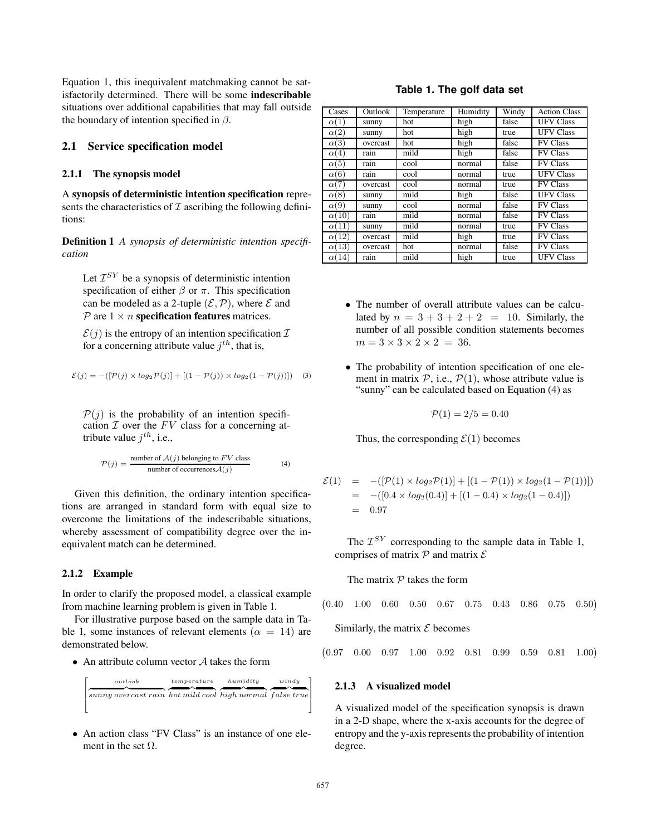Equation 1, this inequivalent matchmaking cannot be satisfactorily determined. There will be some indescribable situations over additional capabilities that may fall outside the boundary of intention specified in  $\beta$ .

#### **2.1 Service specification model**

#### 2.1.1 The synopsis model

A synopsis of deterministic intention specification represents the characteristics of  $\mathcal I$  ascribing the following definitions:

Definition 1 *A synopsis of deterministic intention specification*

Let  $\mathcal{I}^{SY}$  be a synopsis of deterministic intention specification of either  $\beta$  or  $\pi$ . This specification can be modeled as a 2-tuple  $(\mathcal{E}, \mathcal{P})$ , where  $\mathcal E$  and  $P$  are  $1 \times n$  specification features matrices.

 $\mathcal{E}(i)$  is the entropy of an intention specification  $\mathcal{I}$ for a concerning attribute value  $i^{th}$ , that is,

$$
\mathcal{E}(j) = -\left( [\mathcal{P}(j) \times \log_2 \mathcal{P}(j)] + [(1 - \mathcal{P}(j)) \times \log_2 (1 - \mathcal{P}(j))]\right)
$$
 (3)

 $P(j)$  is the probability of an intention specification  $I$  over the  $FV$  class for a concerning attribute value  $j^{th}$ , i.e.,

$$
\mathcal{P}(j) = \frac{\text{number of } \mathcal{A}(j) \text{ belonging to } FV \text{ class}}{\text{number of occurrences} \mathcal{A}(j)} \tag{4}
$$

Given this definition, the ordinary intention specifications are arranged in standard form with equal size to overcome the limitations of the indescribable situations, whereby assessment of compatibility degree over the inequivalent match can be determined.

#### 2.1.2 Example

 $\lceil$  $\frac{1}{2}$  $\mathsf{l}$  $\overline{\phantom{a}}$ 

In order to clarify the proposed model, a classical example from machine learning problem is given in Table 1.

For illustrative purpose based on the sample data in Table 1, some instances of relevant elements ( $\alpha = 14$ ) are demonstrated below.

• An attribute column vector  $A$  takes the form

$$
\overbrace{\textrm{sumny overcast rain}}^{\substack{output \space temperature \\ \textrm{tangent curve}}} \overbrace{\textrm{humidity}}^{\substack{humidity \\ \textrm{hufy}}} \overbrace{\textrm{mily}}^{\substack{windy \\ \textrm{tight normal}}}
$$

• An action class "FV Class" is an instance of one element in the set  $\Omega$ .

# **Table 1. The golf data set**

| Cases        | Outlook  | Temperature | Humidity | Windy | <b>Action Class</b> |
|--------------|----------|-------------|----------|-------|---------------------|
| $\alpha(1)$  | sunny    | hot         | high     | false | <b>UFV Class</b>    |
| $\alpha(2)$  | sunny    | hot         | high     | true  | <b>UFV Class</b>    |
| $\alpha(3)$  | overcast | hot         | high     | false | <b>FV Class</b>     |
| $\alpha(4)$  | rain     | mild        | high     | false | <b>FV Class</b>     |
| $\alpha(5)$  | rain     | cool        | normal   | false | <b>FV Class</b>     |
| $\alpha(6)$  | rain     | cool        | normal   | true  | <b>UFV Class</b>    |
| $\alpha(7)$  | overcast | cool        | normal   | true  | <b>FV Class</b>     |
| $\alpha(8)$  | sunny    | mild        | high     | false | <b>UFV Class</b>    |
| $\alpha(9)$  | sunny    | cool        | normal   | false | <b>FV Class</b>     |
| $\alpha(10)$ | rain     | mild        | normal   | false | <b>FV Class</b>     |
| $\alpha(11)$ | sunny    | mild        | normal   | true  | <b>FV Class</b>     |
| $\alpha(12)$ | overcast | mild        | high     | true  | <b>FV Class</b>     |
| $\alpha(13)$ | overcast | hot         | normal   | false | <b>FV Class</b>     |
| $\alpha(14)$ | rain     | mild        | high     | true  | <b>UFV Class</b>    |

- The number of overall attribute values can be calculated by  $n = 3 + 3 + 2 + 2 = 10$ . Similarly, the number of all possible condition statements becomes  $m = 3 \times 3 \times 2 \times 2 = 36$ .
- The probability of intention specification of one element in matrix  $P$ , i.e.,  $P(1)$ , whose attribute value is "sunny" can be calculated based on Equation (4) as

$$
\mathcal{P}(1) = 2/5 = 0.40
$$

Thus, the corresponding  $\mathcal{E}(1)$  becomes

$$
\mathcal{E}(1) = -([P(1) \times log_2 P(1)] + [(1 - P(1)) \times log_2 (1 - P(1))])
$$
  
= -([0.4 \times log\_2(0.4)] + [(1 - 0.4) \times log\_2 (1 - 0.4)])  
= 0.97

The  $\mathcal{I}^{SY}$  corresponding to the sample data in Table 1, comprises of matrix  $P$  and matrix  $E$ 

The matrix  $P$  takes the form

$$
\begin{pmatrix} 0.40 & 1.00 & 0.60 & 0.50 & 0.67 & 0.75 & 0.43 & 0.86 & 0.75 & 0.50 \end{pmatrix}
$$

Similarly, the matrix  $\mathcal E$  becomes

<sup>0</sup>*.*97 0*.*00 0*.*97 1*.*00 0*.*92 0*.*81 0*.*99 0*.*59 0*.*81 1*.*00

### 2.1.3 A visualized model

A visualized model of the specification synopsis is drawn in a 2-D shape, where the x-axis accounts for the degree of entropy and the y-axis represents the probability of intention degree.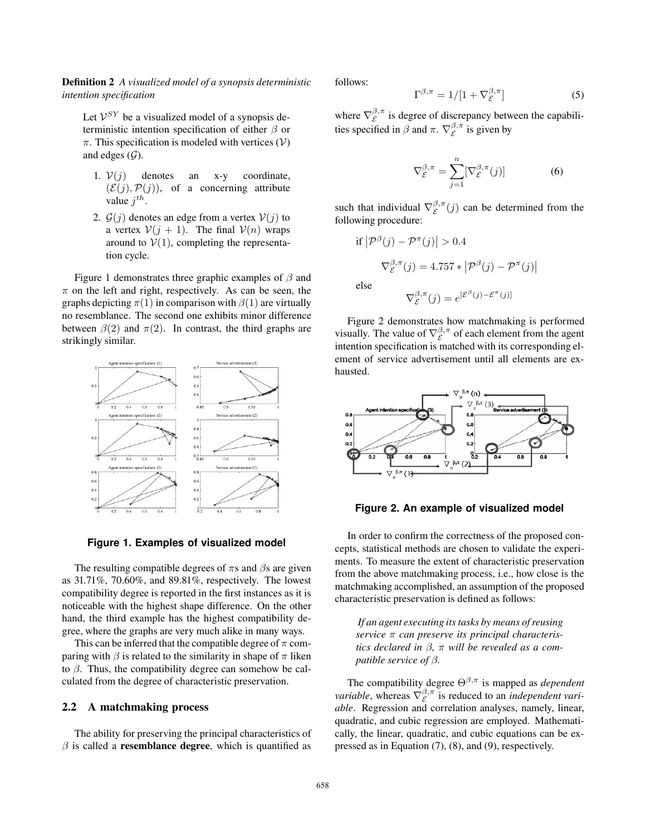Definition 2 *A visualized model of a synopsis deterministic intention specification*

Let  $V^{SY}$  be a visualized model of a synopsis deterministic intention specification of either  $\beta$  or  $\pi$ . This specification is modeled with vertices (V) and edges  $(G)$ .

- 1.  $V(j)$  denotes an x-y coordinate,  $(\mathcal{E}(i), \mathcal{P}(i))$ , of a concerning attribute value  $i^{th}$ .
- 2.  $\mathcal{G}(j)$  denotes an edge from a vertex  $\mathcal{V}(j)$  to a vertex  $V(j + 1)$ . The final  $V(n)$  wraps around to  $V(1)$ , completing the representation cycle.

Figure 1 demonstrates three graphic examples of  $\beta$  and  $\pi$  on the left and right, respectively. As can be seen, the graphs depicting  $\pi(1)$  in comparison with  $\beta(1)$  are virtually no resemblance. The second one exhibits minor difference between  $\beta(2)$  and  $\pi(2)$ . In contrast, the third graphs are strikingly similar.



**Figure 1. Examples of visualized model**

The resulting compatible degrees of  $\pi s$  and  $\beta s$  are given as 31.71%, 70.60%, and 89.81%, respectively. The lowest compatibility degree is reported in the first instances as it is noticeable with the highest shape difference. On the other hand, the third example has the highest compatibility degree, where the graphs are very much alike in many ways.

This can be inferred that the compatible degree of  $\pi$  comparing with  $\beta$  is related to the similarity in shape of  $\pi$  liken to  $\beta$ . Thus, the compatibility degree can somehow be calculated from the degree of characteristic preservation.

#### **2.2 A matchmaking process**

The ability for preserving the principal characteristics of  $\beta$  is called a **resemblance degree**, which is quantified as follows:

$$
\Gamma^{\beta,\pi} = 1/[1 + \nabla_{\mathcal{E}}^{\beta,\pi}] \tag{5}
$$

where  $\nabla_{\mathcal{E}}^{\beta,\pi}$  is degree of discrepancy between the capabilities specified in  $\beta$  and  $\pi$ .  $\nabla_{\mathcal{E}}^{\beta,\pi}$  is given by

$$
\nabla_{\mathcal{E}}^{\beta,\pi} = \sum_{j=1}^{n} [\nabla_{\mathcal{E}}^{\beta,\pi}(j)] \tag{6}
$$

such that individual  $\nabla_{\mathcal{E}}^{\beta,\pi}(j)$  can be determined from the following procedure:

if 
$$
|\mathcal{P}^{\beta}(j) - \mathcal{P}^{\pi}(j)| > 0.4
$$
  
\n
$$
\nabla_{\mathcal{E}}^{\beta,\pi}(j) = 4.757 * |\mathcal{P}^{\beta}(j) - \mathcal{P}^{\pi}(j)|
$$
\nelse\n
$$
\nabla_{\mathcal{E}}^{\beta,\pi}(j) = e^{[\mathcal{E}^{\beta}(j) - \mathcal{E}^{\pi}(j)]}
$$

Figure 2 demonstrates how matchmaking is performed visually. The value of  $\nabla_{\mathcal{E}}^{\beta,\pi}$  of each element from the agent intention specification is matched with its corresponding element of service advertisement until all elements are exhausted.



#### **Figure 2. An example of visualized model**

In order to confirm the correctness of the proposed concepts, statistical methods are chosen to validate the experiments. To measure the extent of characteristic preservation from the above matchmaking process, i.e., how close is the matchmaking accomplished, an assumption of the proposed characteristic preservation is defined as follows:

*If an agent executing its tasks by means of reusing service* π *can preserve its principal characteristics declared in* β*,* π *will be revealed as a compatible service of* β*.*

The compatibility degree  $\Theta^{\beta,\pi}$  is mapped as *dependent variable*, whereas  $\nabla_{\mathcal{E}}^{\beta,\pi}$  is reduced to an *independent variable*. Regression and correlation analyses, namely, linear, quadratic, and cubic regression are employed. Mathematically, the linear, quadratic, and cubic equations can be expressed as in Equation (7), (8), and (9), respectively.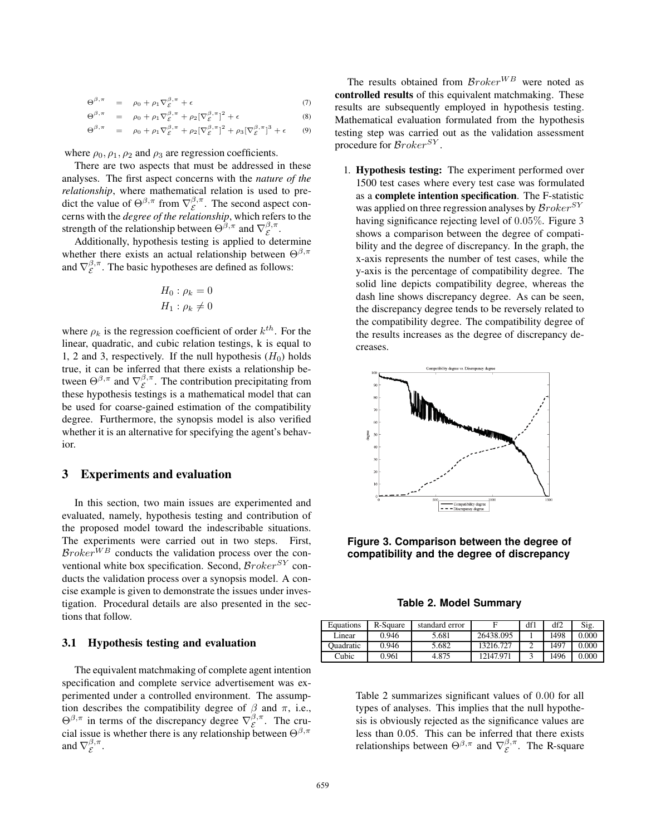$$
\Theta^{\beta,\pi} = \rho_0 + \rho_1 \nabla_{\mathcal{E}}^{\beta,\pi} + \epsilon \tag{7}
$$

$$
\Theta^{\beta,\pi} = \rho_0 + \rho_1 \nabla_{\mathcal{E}}^{\beta,\pi} + \rho_2 [\nabla_{\mathcal{E}}^{\beta,\pi}]^2 + \epsilon \tag{8}
$$

$$
\Theta^{\beta,\pi} = \rho_0 + \rho_1 \nabla_{\mathcal{E}}^{\beta,\pi} + \rho_2 [\nabla_{\mathcal{E}}^{\beta,\pi}]^2 + \rho_3 [\nabla_{\mathcal{E}}^{\beta,\pi}]^3 + \epsilon \qquad (9)
$$

where  $\rho_0$ ,  $\rho_1$ ,  $\rho_2$  and  $\rho_3$  are regression coefficients.

There are two aspects that must be addressed in these analyses. The first aspect concerns with the *nature of the relationship*, where mathematical relation is used to predict the value of  $\Theta^{\beta,\pi}$  from  $\nabla_{\mathcal{E}}^{\beta,\pi}$ . The second aspect concerns with the *degree of the relationship*, which refers to the strength of the relationship between  $\Theta^{\beta,\pi}$  and  $\nabla^{\beta,\pi}_{\varepsilon}$ .

Additionally, hypothesis testing is applied to determine whether there exists an actual relationship between  $\Theta^{\beta,\pi}$ and  $\nabla_{\mathcal{E}}^{\beta,\pi}$ . The basic hypotheses are defined as follows:

$$
H_0: \rho_k = 0
$$
  

$$
H_1: \rho_k \neq 0
$$

where  $\rho_k$  is the regression coefficient of order  $k^{th}$ . For the linear, quadratic, and cubic relation testings, k is equal to 1, 2 and 3, respectively. If the null hypothesis  $(H_0)$  holds true, it can be inferred that there exists a relationship between  $\Theta^{\beta,\pi}$  and  $\nabla_{\mathcal{E}}^{\beta,\pi}$ . The contribution precipitating from these hypothesis testings is a mathematical model that can be used for coarse-gained estimation of the compatibility degree. Furthermore, the synopsis model is also verified whether it is an alternative for specifying the agent's behavior.

# 3 Experiments and evaluation

In this section, two main issues are experimented and evaluated, namely, hypothesis testing and contribution of the proposed model toward the indescribable situations. The experiments were carried out in two steps. First,  $\mathcal{B}roker^{WB}$  conducts the validation process over the conventional white box specification. Second,  $\mathcal{B}roker^{SY}$  conducts the validation process over a synopsis model. A concise example is given to demonstrate the issues under investigation. Procedural details are also presented in the sections that follow.

### **3.1 Hypothesis testing and evaluation**

The equivalent matchmaking of complete agent intention specification and complete service advertisement was experimented under a controlled environment. The assumption describes the compatibility degree of  $\beta$  and  $\pi$ , i.e.,  $\Theta^{\beta,\pi}$  in terms of the discrepancy degree  $\nabla_{\mathcal{E}}^{\beta,\pi}$ . The crucial issue is whether there is any relationship between  $\Theta^{\beta,\pi}$ and  $\nabla_{\mathcal{E}}^{\beta,\pi}$ .

The results obtained from  $\mathcal{B}roker^{WB}$  were noted as controlled results of this equivalent matchmaking. These results are subsequently employed in hypothesis testing. Mathematical evaluation formulated from the hypothesis testing step was carried out as the validation assessment procedure for  $\mathcal{B}roker^{SY}$ .

1. Hypothesis testing: The experiment performed over 1500 test cases where every test case was formulated as a complete intention specification. The F-statistic was applied on three regression analyses by  $\mathcal{B}roker^{SY}$ having significance rejecting level of 0.05%. Figure 3 shows a comparison between the degree of compatibility and the degree of discrepancy. In the graph, the x-axis represents the number of test cases, while the y-axis is the percentage of compatibility degree. The solid line depicts compatibility degree, whereas the dash line shows discrepancy degree. As can be seen, the discrepancy degree tends to be reversely related to the compatibility degree. The compatibility degree of the results increases as the degree of discrepancy decreases.



**Figure 3. Comparison between the degree of compatibility and the degree of discrepancy**

**Table 2. Model Summary**

| Equations        | R-Square | standard error |           | df1 | df2  | Sig.  |
|------------------|----------|----------------|-----------|-----|------|-------|
| Linear           | 0.946    | 5.681          | 26438.095 |     | 1498 | 0.000 |
| <b>Duadratic</b> | 0.946    | 5.682          | 13216.727 |     | 1497 | 0.000 |
| Cubic            | 0.961    | 4.875          | 12147.971 |     | 1496 | 0.000 |

Table 2 summarizes significant values of 0.00 for all types of analyses. This implies that the null hypothesis is obviously rejected as the significance values are less than 0.05. This can be inferred that there exists relationships between  $\Theta^{\beta,\pi}$  and  $\nabla_{\mathcal{E}}^{\beta,\pi}$ . The R-square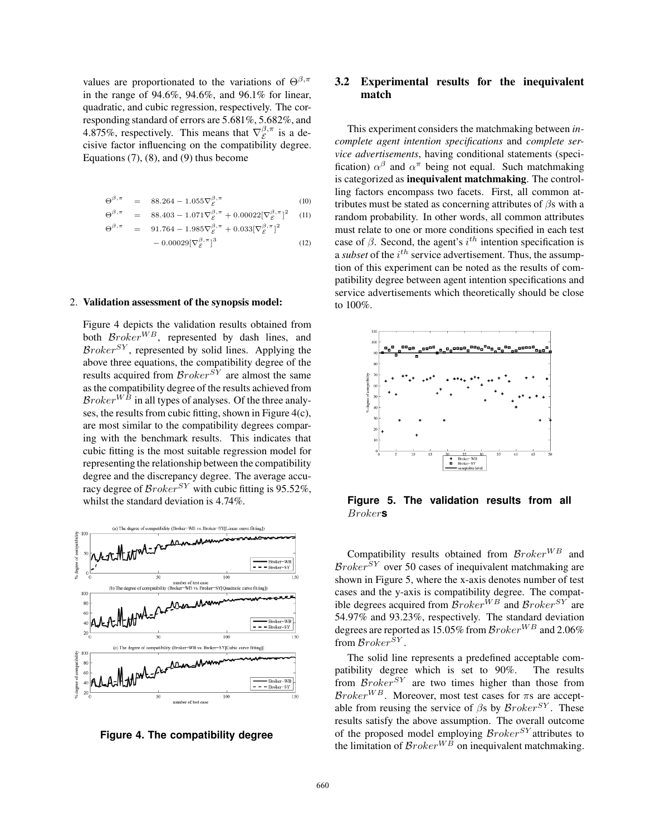values are proportionated to the variations of  $\Theta^{\beta,\pi}$ in the range of 94.6%, 94.6%, and 96.1% for linear, quadratic, and cubic regression, respectively. The corresponding standard of errors are 5.681%, 5.682%, and 4.875%, respectively. This means that  $\nabla_{\mathcal{E}}^{\beta,\pi}$  is a decisive factor influencing on the compatibility degree. Equations  $(7)$ ,  $(8)$ , and  $(9)$  thus become

$$
\Theta^{\beta,\pi} = 88.264 - 1.055 \nabla_{\mathcal{E}}^{\beta,\pi} \tag{10}
$$
\n
$$
\Theta^{\beta,\pi} = 88.403 - 1.071 \nabla_{\mathcal{E}}^{\beta,\pi} + 0.00022 [\nabla_{\mathcal{E}}^{\beta,\pi}]^2 \tag{11}
$$
\n
$$
\Theta^{\beta,\pi} = 91.764 - 1.985 \nabla_{\mathcal{E}}^{\beta,\pi} + 0.033 [\nabla_{\mathcal{E}}^{\beta,\pi}]^2
$$
\n
$$
- 0.00029 [\nabla_{\mathcal{E}}^{\beta,\pi}]^3 \tag{12}
$$

#### 2. Validation assessment of the synopsis model:

Figure 4 depicts the validation results obtained from both  $\mathcal{B}roker^{WB}$ , represented by dash lines, and  $\mathcal{B}roker^{SY}$ , represented by solid lines. Applying the above three equations, the compatibility degree of the results acquired from  $\mathcal{B}roker^{ST}$  are almost the same as the compatibility degree of the results achieved from  $\mathcal{B}roker^{W\bar{B}}$  in all types of analyses. Of the three analyses, the results from cubic fitting, shown in Figure 4(c), are most similar to the compatibility degrees comparing with the benchmark results. This indicates that cubic fitting is the most suitable regression model for representing the relationship between the compatibility degree and the discrepancy degree. The average accuracy degree of  $\mathcal{B}roker^{SY}$  with cubic fitting is 95.52%, whilst the standard deviation is 4.74%.



**Figure 4. The compatibility degree**

# **3.2 Experimental results for the inequivalent match**

This experiment considers the matchmaking between *incomplete agent intention specifications* and *complete service advertisements*, having conditional statements (specification)  $\alpha^{\beta}$  and  $\alpha^{\pi}$  being not equal. Such matchmaking is categorized as inequivalent matchmaking. The controlling factors encompass two facets. First, all common attributes must be stated as concerning attributes of  $\beta$ s with a random probability. In other words, all common attributes must relate to one or more conditions specified in each test case of  $\beta$ . Second, the agent's  $i^{th}$  intention specification is a *subset* of the  $i^{th}$  service advertisement. Thus, the assumption of this experiment can be noted as the results of compatibility degree between agent intention specifications and service advertisements which theoretically should be close to 100%.



**Figure 5. The validation results from all** Broker**s**

Compatibility results obtained from  $\mathcal{B}roker^{WB}$  and  $\mathcal{B}roker^{\overline{S}Y}$  over 50 cases of inequivalent matchmaking are shown in Figure 5, where the x-axis denotes number of test cases and the y-axis is compatibility degree. The compatible degrees acquired from  $\overline{\mathcal{B}}$ roker<sup>WB</sup> and  $\overline{\mathcal{B}}$ roker<sup>SY</sup> are 54.97% and 93.23%, respectively. The standard deviation degrees are reported as 15.05% from  $\mathcal{B}roker^{WB}$  and 2.06% from  $\mathcal{B}roker^{SY}$ .

The solid line represents a predefined acceptable compatibility degree which is set to 90%. The results from  $\mathcal{B}roker^{SY}$  are two times higher than those from  $\mathcal{B}roker^{WB}$ . Moreover, most test cases for  $\pi s$  are acceptable from reusing the service of  $\beta s$  by  $\mathcal{B}roker^{SY}$ . These results satisfy the above assumption. The overall outcome of the proposed model employing  $\mathcal{B}roker^{SY}$  attributes to the limitation of  $\mathcal{B}roker^{W\bar{B}}$  on inequivalent matchmaking.